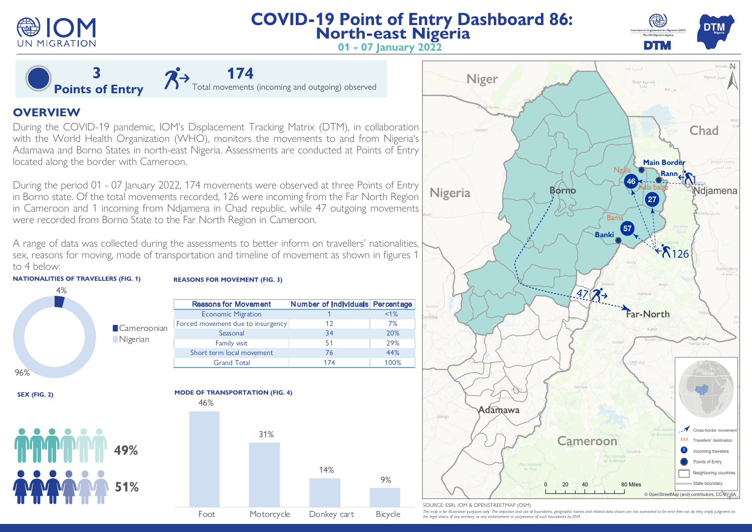

**3 Points of Entry**

# **COVID-19 Point of Entry Dashboard 86: North-east Nigeria**



**01 - 07 January 2022**

# **OVERVIEW**

During the COVID-19 pandemic, IOM's Displacement Tracking Matrix (DTM), in collaboration with the World Health Organization (WHO), monitors the movements to and from Nigeria's Adamawa and Borno States in north-east Nigeria. Assessments are conducted at Points of Entry located along the border with Cameroon.

During the period 01 - 07 January 2022, 174 movements were observed at three Points of Entry in Borno state. Of the total movements recorded, 126 were incoming from the Far North Region in Cameroon and 1 incoming from Ndjamena in Chad republic, while 47 outgoing movements were recorded from Borno State to the Far North Region in Cameroon.

A range of data was collected during the assessments to better inform on travellers' nationalities, sex, reasons for moving, mode of transportation and timeline of movement as shown in figures 1 to 4 below:

**REASONS FOR MOVEMENT (FIG. 3)**



**SEX (FIG. 2)**





Reasons for Movement Number of Individuals Percentage Economic Migration 1 <1% Forced movement due to insurgency 12 12 7%



#### SOURCE: ESRI, IOM & OPENSTREETMAP (OSM)

The map is for illustration purposes only. The depiction and use of boundaries, geographic names and related data shown are not warranted to be error free nor do they imply judgment on *the legal status of any territory, or any endorsement or accpetance of such boundaries by IOM.*